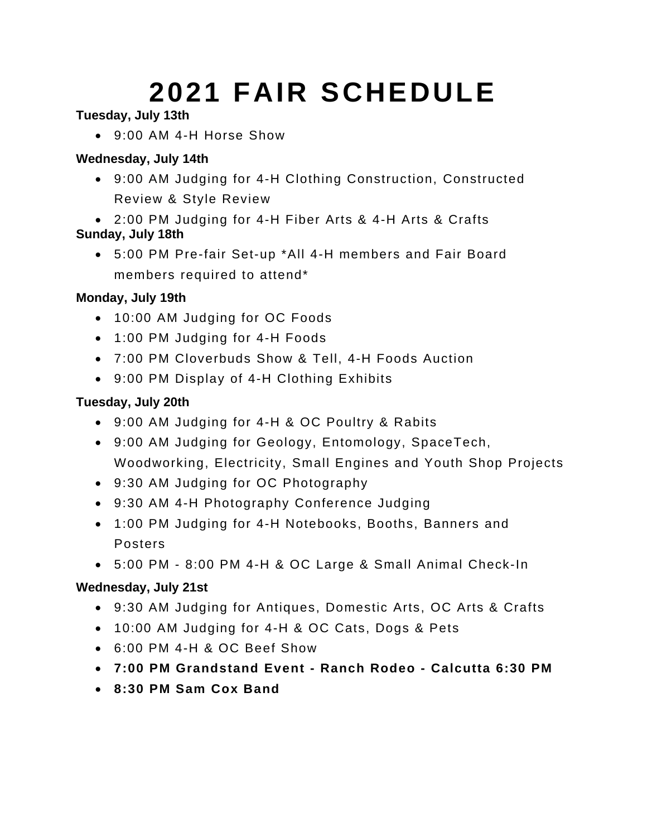# **2021 FAIR SCHEDULE**

## **Tuesday, July 13th**

• 9:00 AM 4-H Horse Show

## **Wednesday, July 14th**

- 9:00 AM Judging for 4-H Clothing Construction, Constructed Review & Style Review
- 2:00 PM Judging for 4-H Fiber Arts & 4-H Arts & Crafts **Sunday, July 18th**
	- 5:00 PM Pre-fair Set-up \*All 4-H members and Fair Board members required to attend\*

#### **Monday, July 19th**

- 10:00 AM Judging for OC Foods
- 1:00 PM Judging for 4-H Foods
- 7:00 PM Cloverbuds Show & Tell, 4-H Foods Auction
- 9:00 PM Display of 4-H Clothing Exhibits

## **Tuesday, July 20th**

- 9:00 AM Judging for 4-H & OC Poultry & Rabits
- 9:00 AM Judging for Geology, Entomology, SpaceTech, Woodworking, Electricity, Small Engines and Youth Shop Projects
- 9:30 AM Judging for OC Photography
- 9:30 AM 4-H Photography Conference Judging
- 1:00 PM Judging for 4-H Notebooks, Booths, Banners and Posters
- 5:00 PM 8:00 PM 4-H & OC Large & Small Animal Check-In

## **Wednesday, July 21st**

- 9:30 AM Judging for Antiques, Domestic Arts, OC Arts & Crafts
- 10:00 AM Judging for 4-H & OC Cats, Dogs & Pets
- 6:00 PM 4-H & OC Beef Show
- **7:00 PM Grandstand Event - Ranch Rodeo - Calcutta 6:30 PM**
- **8:30 PM Sam Cox Band**